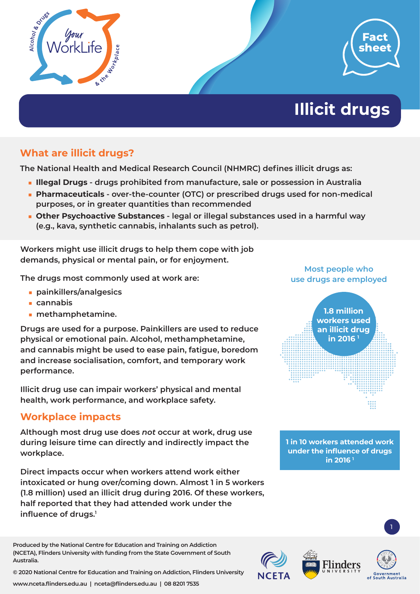



# **Illicit drugs**

## **What are illicit drugs?**

**The National Health and Medical Research Council (NHMRC) defines illicit drugs as:**

- **Illegal Drugs drugs prohibited from manufacture, sale or possession in Australia**
- **Pharmaceuticals over-the-counter (OTC) or prescribed drugs used for non-medical purposes, or in greater quantities than recommended**
- **Other Psychoactive Substances legal or illegal substances used in a harmful way (e.g., kava, synthetic cannabis, inhalants such as petrol).**

**Workers might use illicit drugs to help them cope with job demands, physical or mental pain, or for enjoyment.** 

**The drugs most commonly used at work are:**

- **painkillers/analgesics**
- **cannabis**
- **methamphetamine.**

**Drugs are used for a purpose. Painkillers are used to reduce physical or emotional pain. Alcohol, methamphetamine, and cannabis might be used to ease pain, fatigue, boredom and increase socialisation, comfort, and temporary work performance.** 

**Illicit drug use can impair workers' physical and mental health, work performance, and workplace safety.** 

#### **Workplace impacts**

**Although most drug use does** *not* **occur at work, drug use during leisure time can directly and indirectly impact the workplace.**

**Direct impacts occur when workers attend work either intoxicated or hung over/coming down. Almost 1 in 5 workers (1.8 million) used an illicit drug during 2016. Of these workers, half reported that they had attended work under the influence of drugs.1**

**Produced by the National Centre for Education and Training on Addiction (NCETA), Flinders University with funding from the State Government of South Australia.** 

**© 2020 National Centre for Education and Training on Addiction, Flinders University**

**www.nceta.flinders.edu.au | nceta@flinders.edu.au | 08 8201 7535**

#### **Most people who use drugs are employed**



**1 in 10 workers attended work under the influence of drugs in 2016 1**

1

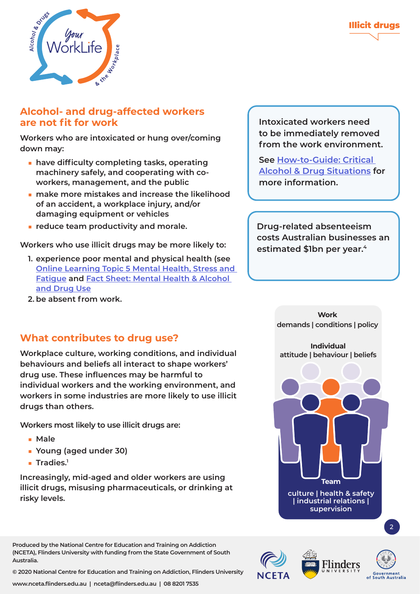

#### **Alcohol- and drug-affected workers are not fit for work**

**Workers who are intoxicated or hung over/coming down may:**

- have difficulty completing tasks, operating **machinery safely, and cooperating with coworkers, management, and the public**
- make more mistakes and increase the likelihood **of an accident, a workplace injury, and/or damaging equipment or vehicles**
- **reduce team productivity and morale.**

**Workers who use illicit drugs may be more likely to:**

- **1. experience poor mental and physical health (see [Online Learning Topic 5 Mental Health, Stress and](https://worklife.flinders.edu.au/Online-Learning/Learning-more-about-alcohol-and-drugs-mental-health-stress-and-fatigue)  [Fatigue](https://worklife.flinders.edu.au/Online-Learning/Learning-more-about-alcohol-and-drugs-mental-health-stress-and-fatigue) and [Fact Sheet:](https://worklife.flinders.edu.au/download_file/551/0) Mental Health & Alcohol and Drug Use**
- **2. be absent from work.**

#### **What contributes to drug use?**

**Workplace culture, working conditions, and individual behaviours and beliefs all interact to shape workers' drug use. These influences may be harmful to individual workers and the working environment, and workers in some industries are more likely to use illicit drugs than others.** 

**Workers most likely to use illicit drugs are:**

- **Male**
- **Young (aged under 30)**
- **Tradies.1**

**Increasingly, mid-aged and older workers are using illicit drugs, misusing pharmaceuticals, or drinking at risky levels.** 

**Produced by the National Centre for Education and Training on Addiction (NCETA), Flinders University with funding from the State Government of South Australia.** 

**© 2020 National Centre for Education and Training on Addiction, Flinders University**

**Intoxicated workers need to be immediately removed from the work environment.** 

**See How-to-Guide[: Critical](https://worklife.flinders.edu.au/download_file/623/0)  [Alcohol & Drug Situations](https://worklife.flinders.edu.au/download_file/623/0) for more information.** 

**Drug-related absenteeism costs Australian businesses an estimated \$1bn per year.4**

> **Work demands | conditions | policy**

**Individual attitude | behaviour | beliefs**



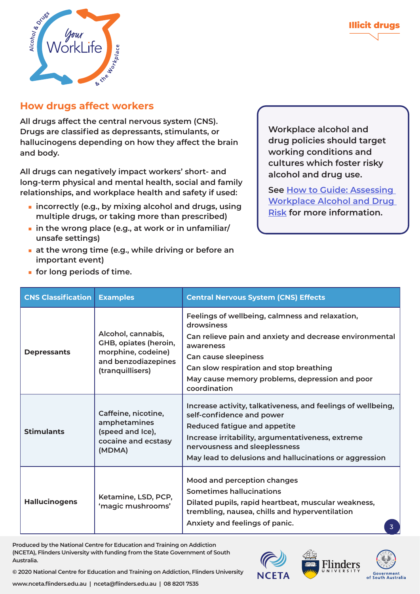

#### **How drugs affect workers**

■ **for long periods of time.** 

**All drugs affect the central nervous system (CNS). Drugs are classified as depressants, stimulants, or hallucinogens depending on how they affect the brain and body.** 

**All drugs can negatively impact workers' short- and long-term physical and mental health, social and family relationships, and workplace health and safety if used:**

- **incorrectly (e.g., by mixing alcohol and drugs, using multiple drugs, or taking more than prescribed)**
- **in the wrong place (e.g., at work or in unfamiliar/ unsafe settings)**
- at the wrong time (e.g., while driving or before an **important event)**

**Workplace alcohol and drug policies should target working conditions and cultures which foster risky alcohol and drug use.**

**See How to Guid[e: Assessing](https://worklife.flinders.edu.au/download_file/622/0)  [Workplace Alcohol and Drug](https://worklife.flinders.edu.au/download_file/622/0)  [Risk](https://worklife.flinders.edu.au/download_file/622/0) for more information.**

| <b>CNS Classification</b> | <b>Examples</b>                                                                                              | <b>Central Nervous System (CNS) Effects</b>                                                                                                                                                                                                                                                                                                                                                                                                                                     |  |
|---------------------------|--------------------------------------------------------------------------------------------------------------|---------------------------------------------------------------------------------------------------------------------------------------------------------------------------------------------------------------------------------------------------------------------------------------------------------------------------------------------------------------------------------------------------------------------------------------------------------------------------------|--|
| <b>Depressants</b>        | Alcohol, cannabis,<br>GHB, opiates (heroin,<br>morphine, codeine)<br>and benzodiazepines<br>(tranquillisers) | Feelings of wellbeing, calmness and relaxation,<br>drowsiness<br>Can relieve pain and anxiety and decrease environmental<br>awareness<br>Can cause sleepiness<br>Can slow respiration and stop breathing<br>May cause memory problems, depression and poor<br>coordination                                                                                                                                                                                                      |  |
| <b>Stimulants</b>         | Caffeine, nicotine,<br>amphetamines<br>(speed and Ice),<br>cocaine and ecstasy<br>(MDMA)                     | Increase activity, talkativeness, and feelings of wellbeing,<br>self-confidence and power<br>Reduced fatigue and appetite<br>Increase irritability, argumentativeness, extreme<br>nervousness and sleeplessness<br>May lead to delusions and hallucinations or aggression<br>Mood and perception changes<br>Sometimes hallucinations<br>Dilated pupils, rapid heartbeat, muscular weakness,<br>trembling, nausea, chills and hyperventilation<br>Anxiety and feelings of panic. |  |
| <b>Hallucinogens</b>      | Ketamine, LSD, PCP,<br>'magic mushrooms'                                                                     |                                                                                                                                                                                                                                                                                                                                                                                                                                                                                 |  |

**Produced by the National Centre for Education and Training on Addiction (NCETA), Flinders University with funding from the State Government of South Australia.** 





**© 2020 National Centre for Education and Training on Addiction, Flinders University**

**www.nceta.flinders.edu.au | nceta@flinders.edu.au | 08 8201 7535**